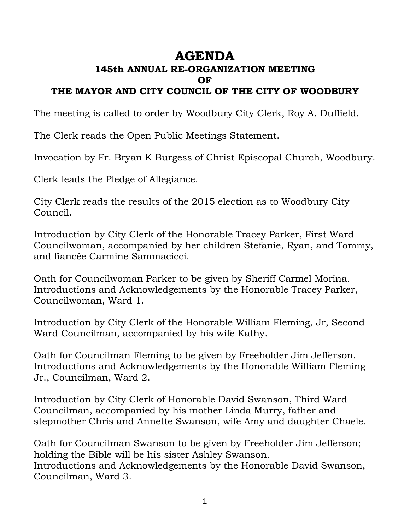# **AGENDA**

## **145th ANNUAL RE-ORGANIZATION MEETING OF**

#### **THE MAYOR AND CITY COUNCIL OF THE CITY OF WOODBURY**

The meeting is called to order by Woodbury City Clerk, Roy A. Duffield.

The Clerk reads the Open Public Meetings Statement.

Invocation by Fr. Bryan K Burgess of Christ Episcopal Church, Woodbury.

Clerk leads the Pledge of Allegiance.

City Clerk reads the results of the 2015 election as to Woodbury City Council.

Introduction by City Clerk of the Honorable Tracey Parker, First Ward Councilwoman, accompanied by her children Stefanie, Ryan, and Tommy, and fiancée Carmine Sammacicci.

Oath for Councilwoman Parker to be given by Sheriff Carmel Morina. Introductions and Acknowledgements by the Honorable Tracey Parker, Councilwoman, Ward 1.

Introduction by City Clerk of the Honorable William Fleming, Jr, Second Ward Councilman, accompanied by his wife Kathy.

Oath for Councilman Fleming to be given by Freeholder Jim Jefferson. Introductions and Acknowledgements by the Honorable William Fleming Jr., Councilman, Ward 2.

Introduction by City Clerk of Honorable David Swanson, Third Ward Councilman, accompanied by his mother Linda Murry, father and stepmother Chris and Annette Swanson, wife Amy and daughter Chaele.

Oath for Councilman Swanson to be given by Freeholder Jim Jefferson; holding the Bible will be his sister Ashley Swanson. Introductions and Acknowledgements by the Honorable David Swanson, Councilman, Ward 3.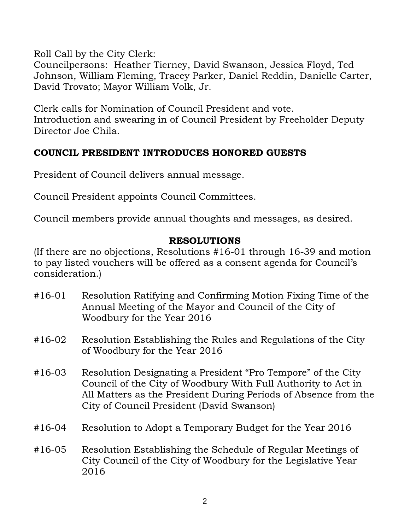Roll Call by the City Clerk:

Councilpersons: Heather Tierney, David Swanson, Jessica Floyd, Ted Johnson, William Fleming, Tracey Parker, Daniel Reddin, Danielle Carter, David Trovato; Mayor William Volk, Jr.

Clerk calls for Nomination of Council President and vote. Introduction and swearing in of Council President by Freeholder Deputy Director Joe Chila.

### **COUNCIL PRESIDENT INTRODUCES HONORED GUESTS**

President of Council delivers annual message.

Council President appoints Council Committees.

Council members provide annual thoughts and messages, as desired.

#### **RESOLUTIONS**

(If there are no objections, Resolutions #16-01 through 16-39 and motion to pay listed vouchers will be offered as a consent agenda for Council's consideration.)

- #16-01 Resolution Ratifying and Confirming Motion Fixing Time of the Annual Meeting of the Mayor and Council of the City of Woodbury for the Year 2016
- #16-02 Resolution Establishing the Rules and Regulations of the City of Woodbury for the Year 2016
- #16-03 Resolution Designating a President "Pro Tempore" of the City Council of the City of Woodbury With Full Authority to Act in All Matters as the President During Periods of Absence from the City of Council President (David Swanson)
- #16-04 Resolution to Adopt a Temporary Budget for the Year 2016

#16-05 Resolution Establishing the Schedule of Regular Meetings of City Council of the City of Woodbury for the Legislative Year 2016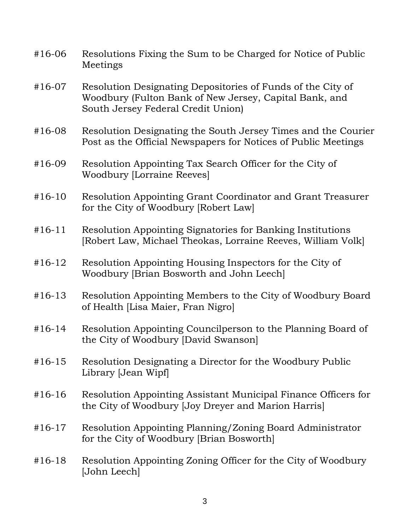| $#16-06$ | Resolutions Fixing the Sum to be Charged for Notice of Public<br>Meetings                                                                                   |
|----------|-------------------------------------------------------------------------------------------------------------------------------------------------------------|
| $#16-07$ | Resolution Designating Depositories of Funds of the City of<br>Woodbury (Fulton Bank of New Jersey, Capital Bank, and<br>South Jersey Federal Credit Union) |
| $#16-08$ | Resolution Designating the South Jersey Times and the Courier<br>Post as the Official Newspapers for Notices of Public Meetings                             |
| #16-09   | Resolution Appointing Tax Search Officer for the City of<br><b>Woodbury [Lorraine Reeves]</b>                                                               |
| $#16-10$ | Resolution Appointing Grant Coordinator and Grant Treasurer<br>for the City of Woodbury [Robert Law]                                                        |
| $#16-11$ | Resolution Appointing Signatories for Banking Institutions<br>[Robert Law, Michael Theokas, Lorraine Reeves, William Volk]                                  |
| $#16-12$ | Resolution Appointing Housing Inspectors for the City of<br>Woodbury [Brian Bosworth and John Leech]                                                        |
| $#16-13$ | Resolution Appointing Members to the City of Woodbury Board<br>of Health [Lisa Maier, Fran Nigro]                                                           |
| $#16-14$ | Resolution Appointing Councilperson to the Planning Board of<br>the City of Woodbury [David Swanson]                                                        |
| $#16-15$ | Resolution Designating a Director for the Woodbury Public<br>Library [Jean Wipf]                                                                            |
| $#16-16$ | Resolution Appointing Assistant Municipal Finance Officers for<br>the City of Woodbury [Joy Dreyer and Marion Harris]                                       |
| $#16-17$ | Resolution Appointing Planning/Zoning Board Administrator<br>for the City of Woodbury [Brian Bosworth]                                                      |
| $#16-18$ | Resolution Appointing Zoning Officer for the City of Woodbury<br>[John Leech]                                                                               |
|          |                                                                                                                                                             |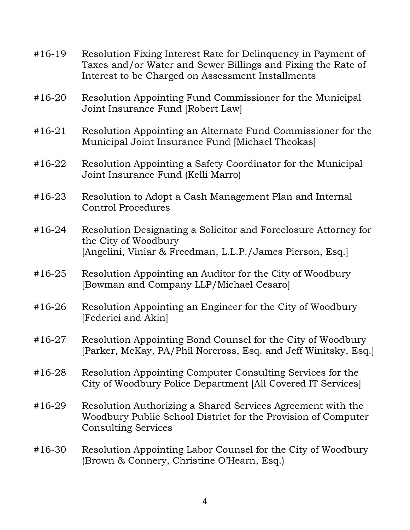| $#16-19$ | Resolution Fixing Interest Rate for Delinquency in Payment of<br>Taxes and/or Water and Sewer Billings and Fixing the Rate of<br>Interest to be Charged on Assessment Installments |
|----------|------------------------------------------------------------------------------------------------------------------------------------------------------------------------------------|
| $#16-20$ | Resolution Appointing Fund Commissioner for the Municipal<br>Joint Insurance Fund [Robert Law]                                                                                     |
| $#16-21$ | Resolution Appointing an Alternate Fund Commissioner for the<br>Municipal Joint Insurance Fund [Michael Theokas]                                                                   |
| $#16-22$ | Resolution Appointing a Safety Coordinator for the Municipal<br>Joint Insurance Fund (Kelli Marro)                                                                                 |
| $#16-23$ | Resolution to Adopt a Cash Management Plan and Internal<br><b>Control Procedures</b>                                                                                               |
| $#16-24$ | Resolution Designating a Solicitor and Foreclosure Attorney for<br>the City of Woodbury<br>[Angelini, Viniar & Freedman, L.L.P./James Pierson, Esq.]                               |
| $#16-25$ | Resolution Appointing an Auditor for the City of Woodbury<br>[Bowman and Company LLP/Michael Cesaro]                                                                               |
| $#16-26$ | Resolution Appointing an Engineer for the City of Woodbury<br>[Federici and Akin]                                                                                                  |
| $#16-27$ | Resolution Appointing Bond Counsel for the City of Woodbury<br>[Parker, McKay, PA/Phil Norcross, Esq. and Jeff Winitsky, Esq.]                                                     |
| $#16-28$ | Resolution Appointing Computer Consulting Services for the<br>City of Woodbury Police Department [All Covered IT Services]                                                         |
| #16-29   | Resolution Authorizing a Shared Services Agreement with the<br>Woodbury Public School District for the Provision of Computer<br><b>Consulting Services</b>                         |
| #16-30   | Resolution Appointing Labor Counsel for the City of Woodbury<br>(Brown & Connery, Christine O'Hearn, Esq.)                                                                         |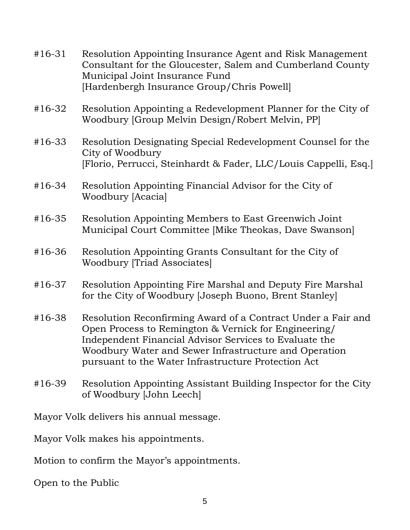| $#16-31$                                | Resolution Appointing Insurance Agent and Risk Management<br>Consultant for the Gloucester, Salem and Cumberland County<br>Municipal Joint Insurance Fund<br>[Hardenbergh Insurance Group/Chris Powell]                                                                                        |  |
|-----------------------------------------|------------------------------------------------------------------------------------------------------------------------------------------------------------------------------------------------------------------------------------------------------------------------------------------------|--|
| #16-32                                  | Resolution Appointing a Redevelopment Planner for the City of<br>Woodbury [Group Melvin Design/Robert Melvin, PP]                                                                                                                                                                              |  |
| $#16-33$                                | Resolution Designating Special Redevelopment Counsel for the<br>City of Woodbury<br>[Florio, Perrucci, Steinhardt & Fader, LLC/Louis Cappelli, Esq.]                                                                                                                                           |  |
| $#16-34$                                | Resolution Appointing Financial Advisor for the City of<br><b>Woodbury [Acacia]</b>                                                                                                                                                                                                            |  |
| #16-35                                  | Resolution Appointing Members to East Greenwich Joint<br>Municipal Court Committee [Mike Theokas, Dave Swanson]                                                                                                                                                                                |  |
| #16-36                                  | Resolution Appointing Grants Consultant for the City of<br><b>Woodbury [Triad Associates]</b>                                                                                                                                                                                                  |  |
| #16-37                                  | Resolution Appointing Fire Marshal and Deputy Fire Marshal<br>for the City of Woodbury [Joseph Buono, Brent Stanley]                                                                                                                                                                           |  |
| #16-38                                  | Resolution Reconfirming Award of a Contract Under a Fair and<br>Open Process to Remington & Vernick for Engineering/<br>Independent Financial Advisor Services to Evaluate the<br>Woodbury Water and Sewer Infrastructure and Operation<br>pursuant to the Water Infrastructure Protection Act |  |
| #16-39                                  | Resolution Appointing Assistant Building Inspector for the City<br>of Woodbury [John Leech]                                                                                                                                                                                                    |  |
| Mayor Volk delivers his annual message. |                                                                                                                                                                                                                                                                                                |  |

Mayor Volk makes his appointments.

Motion to confirm the Mayor's appointments.

Open to the Public